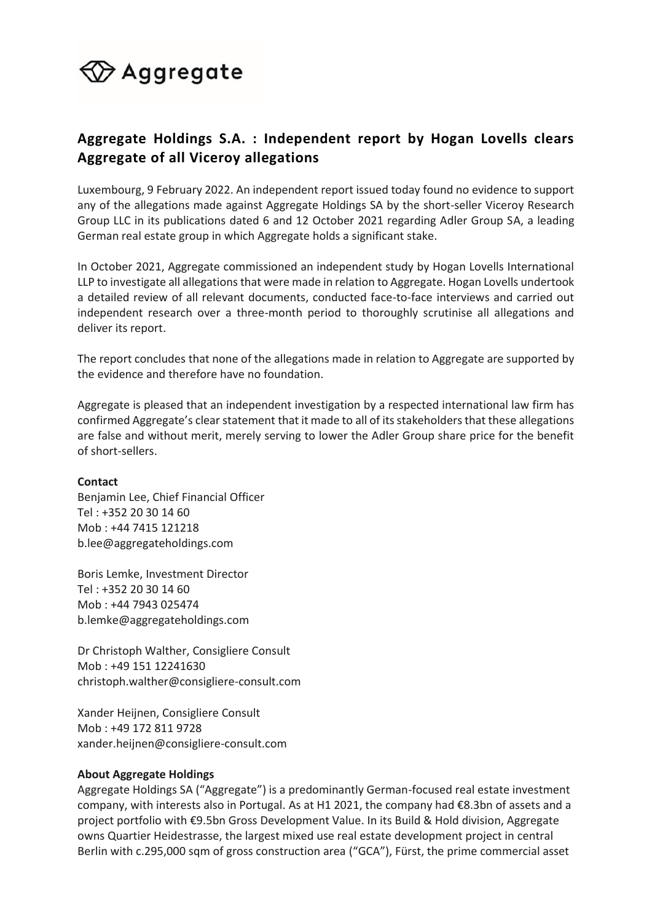## $\bigcirc \hspace{-3.5mm} \mathsf{Aggregate}$

## **Aggregate Holdings S.A. : Independent report by Hogan Lovells clears Aggregate of all Viceroy allegations**

Luxembourg, 9 February 2022. An independent report issued today found no evidence to support any of the allegations made against Aggregate Holdings SA by the short-seller Viceroy Research Group LLC in its publications dated 6 and 12 October 2021 regarding Adler Group SA, a leading German real estate group in which Aggregate holds a significant stake.

In October 2021, Aggregate commissioned an independent study by Hogan Lovells International LLP to investigate all allegations that were made in relation to Aggregate. Hogan Lovells undertook a detailed review of all relevant documents, conducted face-to-face interviews and carried out independent research over a three-month period to thoroughly scrutinise all allegations and deliver its report.

The report concludes that none of the allegations made in relation to Aggregate are supported by the evidence and therefore have no foundation.

Aggregate is pleased that an independent investigation by a respected international law firm has confirmed Aggregate's clear statement that it made to all of its stakeholders that these allegations are false and without merit, merely serving to lower the Adler Group share price for the benefit of short-sellers.

## **Contact**

Benjamin Lee, Chief Financial Officer Tel : +352 20 30 14 60 Mob : +44 7415 121218 [b.lee@aggregateholdings.com](mailto:b.lee@aggregateholdings.com)

Boris Lemke, Investment Director Tel : +352 20 30 14 60 Mob : +44 7943 025474 [b.lemke@aggregateholdings.com](mailto:b.lemke@aggregateholdings.com)

Dr Christoph Walther, Consigliere Consult Mob : +49 151 12241630 [christoph.walther@consigliere-consult.com](mailto:christoph.walther@consigliere-consult.com)

Xander Heijnen, Consigliere Consult Mob : +49 172 811 9728 [xander.heijnen@consigliere-consult.com](mailto:xander.heijnen@consigliere-consult.com)

## **About Aggregate Holdings**

Aggregate Holdings SA ("Aggregate") is a predominantly German-focused real estate investment company, with interests also in Portugal. As at H1 2021, the company had €8.3bn of assets and a project portfolio with €9.5bn Gross Development Value. In its Build & Hold division, Aggregate owns Quartier Heidestrasse, the largest mixed use real estate development project in central Berlin with c.295,000 sqm of gross construction area ("GCA"), Fürst, the prime commercial asset